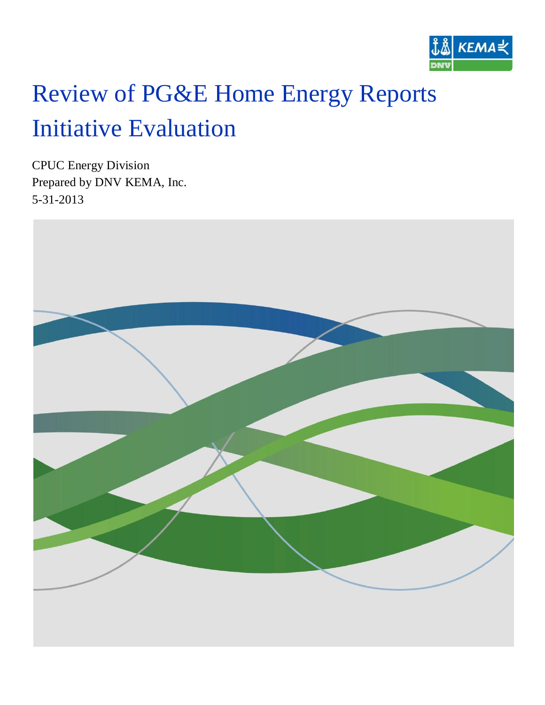

# Review of PG&E Home Energy Reports Initiative Evaluation

CPUC Energy Division Prepared by DNV KEMA, Inc. 5-31-2013

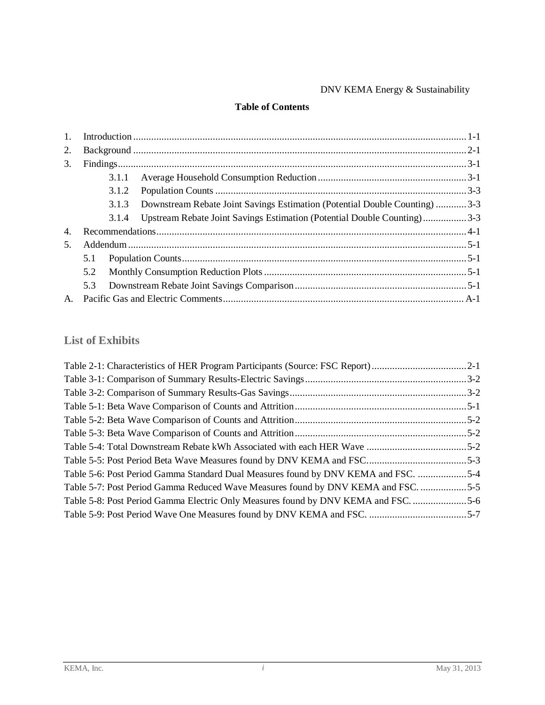### DNV KEMA Energy & Sustainability

#### **Table of Contents**

| 1.               |     |       |                                                                            |  |
|------------------|-----|-------|----------------------------------------------------------------------------|--|
| 2.               |     |       |                                                                            |  |
| 3.               |     |       |                                                                            |  |
|                  |     | 3.1.1 |                                                                            |  |
|                  |     | 3.1.2 |                                                                            |  |
|                  |     | 3.1.3 | Downstream Rebate Joint Savings Estimation (Potential Double Counting) 3-3 |  |
|                  |     | 3.1.4 | Upstream Rebate Joint Savings Estimation (Potential Double Counting)3-3    |  |
| $\overline{4}$ . |     |       |                                                                            |  |
| .5.              |     |       |                                                                            |  |
|                  | 5.1 |       |                                                                            |  |
|                  | 5.2 |       |                                                                            |  |
|                  | 5.3 |       |                                                                            |  |
|                  |     |       |                                                                            |  |

### **List of Exhibits**

| Table 5-6: Post Period Gamma Standard Dual Measures found by DNV KEMA and FSC. 5-4 |  |
|------------------------------------------------------------------------------------|--|
| Table 5-7: Post Period Gamma Reduced Wave Measures found by DNV KEMA and FSC. 5-5  |  |
| Table 5-8: Post Period Gamma Electric Only Measures found by DNV KEMA and FSC      |  |
|                                                                                    |  |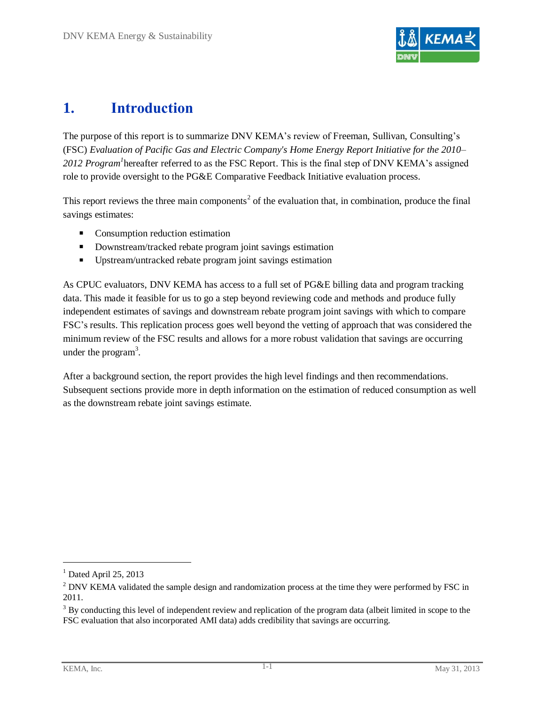

# <span id="page-2-0"></span>**1. Introduction**

The purpose of this report is to summarize DNV KEMA's review of Freeman, Sullivan, Consulting's (FSC) *Evaluation of Pacific Gas and Electric Company's Home Energy Report Initiative for the 2010–* 2012 Program<sup>1</sup> hereafter referred to as the FSC Report. This is the final step of DNV KEMA's assigned role to provide oversight to the PG&E Comparative Feedback Initiative evaluation process.

This report reviews the three main components<sup>2</sup> of the evaluation that, in combination, produce the final savings estimates:

- **Consumption reduction estimation**
- **Downstream/tracked rebate program joint savings estimation**
- Upstream/untracked rebate program joint savings estimation

As CPUC evaluators, DNV KEMA has access to a full set of PG&E billing data and program tracking data. This made it feasible for us to go a step beyond reviewing code and methods and produce fully independent estimates of savings and downstream rebate program joint savings with which to compare FSC's results. This replication process goes well beyond the vetting of approach that was considered the minimum review of the FSC results and allows for a more robust validation that savings are occurring under the program<sup>3</sup>.

After a background section, the report provides the high level findings and then recommendations. Subsequent sections provide more in depth information on the estimation of reduced consumption as well as the downstream rebate joint savings estimate.

 $\overline{a}$ 

 $<sup>1</sup>$  Dated April 25, 2013</sup>

<sup>&</sup>lt;sup>2</sup> DNV KEMA validated the sample design and randomization process at the time they were performed by FSC in 2011.

 $3$  By conducting this level of independent review and replication of the program data (albeit limited in scope to the FSC evaluation that also incorporated AMI data) adds credibility that savings are occurring.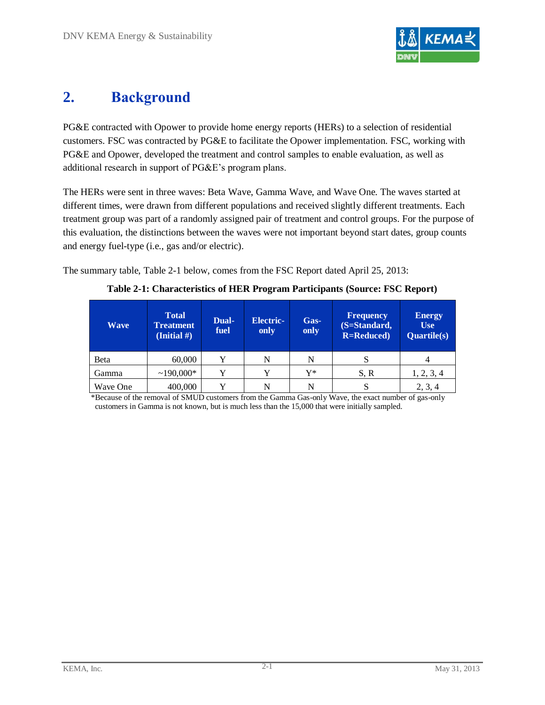

# <span id="page-3-0"></span>**2. Background**

PG&E contracted with Opower to provide home energy reports (HERs) to a selection of residential customers. FSC was contracted by PG&E to facilitate the Opower implementation. FSC, working with PG&E and Opower, developed the treatment and control samples to enable evaluation, as well as additional research in support of PG&E's program plans.

The HERs were sent in three waves: Beta Wave, Gamma Wave, and Wave One. The waves started at different times, were drawn from different populations and received slightly different treatments. Each treatment group was part of a randomly assigned pair of treatment and control groups. For the purpose of this evaluation, the distinctions between the waves were not important beyond start dates, group counts and energy fuel-type (i.e., gas and/or electric).

<span id="page-3-1"></span>The summary table, [Table 2-1](#page-3-1) below, comes from the FSC Report dated April 25, 2013:

| <b>Wave</b> | <b>Total</b><br><b>Treatment</b><br>(Initial $#$ ) | Dual-<br>fuel | <b>Electric-</b><br>only | Gas-<br>only | <b>Frequency</b><br>(S=Standard,<br><b>R=Reduced</b> ) | <b>Energy</b><br><b>Use</b><br><b>Quartile(s)</b> |
|-------------|----------------------------------------------------|---------------|--------------------------|--------------|--------------------------------------------------------|---------------------------------------------------|
| Beta        | 60,000                                             | v             | N                        | N            | S                                                      |                                                   |
| Gamma       | $~190,000*$                                        |               | Y                        | Y*           | S, R                                                   | 1, 2, 3, 4                                        |
| Wave One    | 400,000                                            |               | N                        | N            | S                                                      | 2, 3, 4                                           |

| Table 2-1: Characteristics of HER Program Participants (Source: FSC Report) |  |  |  |  |
|-----------------------------------------------------------------------------|--|--|--|--|
|-----------------------------------------------------------------------------|--|--|--|--|

\*Because of the removal of SMUD customers from the Gamma Gas-only Wave, the exact number of gas-only customers in Gamma is not known, but is much less than the 15,000 that were initially sampled.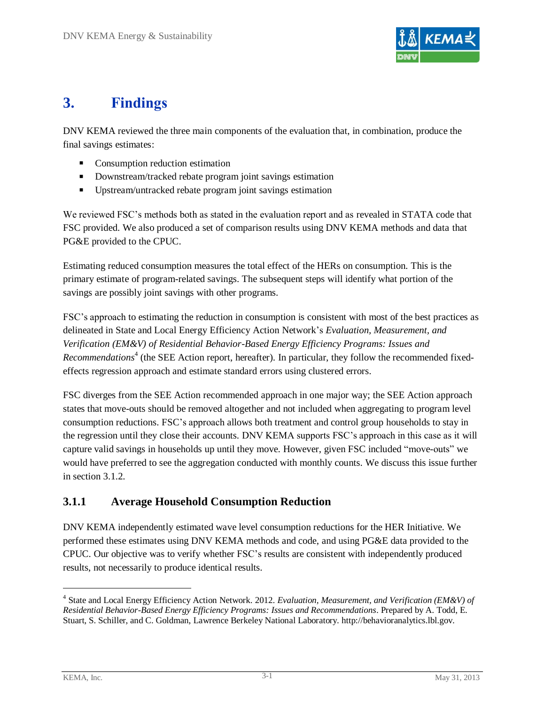

# <span id="page-4-0"></span>**3. Findings**

DNV KEMA reviewed the three main components of the evaluation that, in combination, produce the final savings estimates:

- **Consumption reduction estimation**
- Downstream/tracked rebate program joint savings estimation
- Upstream/untracked rebate program joint savings estimation

We reviewed FSC's methods both as stated in the evaluation report and as revealed in STATA code that FSC provided. We also produced a set of comparison results using DNV KEMA methods and data that PG&E provided to the CPUC.

Estimating reduced consumption measures the total effect of the HERs on consumption. This is the primary estimate of program-related savings. The subsequent steps will identify what portion of the savings are possibly joint savings with other programs.

FSC's approach to estimating the reduction in consumption is consistent with most of the best practices as delineated in State and Local Energy Efficiency Action Network's*Evaluation, Measurement, and Verification (EM&V) of Residential Behavior-Based Energy Efficiency Programs: Issues and*  Recommendations<sup>4</sup> (the SEE Action report, hereafter). In particular, they follow the recommended fixedeffects regression approach and estimate standard errors using clustered errors.

FSC diverges from the SEE Action recommended approach in one major way; the SEE Action approach states that move-outs should be removed altogether and not included when aggregating to program level consumption reductions. FSC'sapproach allows both treatment and control group households to stay in the regression until they close their accounts. DNV KEMA supports FSC's approach in this case as it will capture valid savings in households up until they move. However, given FSC included "move-outs" we would have preferred to see the aggregation conducted with monthly counts. We discuss this issue further in section [3.1.2.](#page-6-0)

### <span id="page-4-1"></span>**3.1.1 Average Household Consumption Reduction**

DNV KEMA independently estimated wave level consumption reductions for the HER Initiative. We performed these estimates using DNV KEMA methods and code, and using PG&E data provided to the CPUC. Our objective was to verify whether FSC's results are consistent with independently produced results, not necessarily to produce identical results.

<sup>4</sup> State and Local Energy Efficiency Action Network. 2012. *Evaluation, Measurement, and Verification (EM&V) of Residential Behavior-Based Energy Efficiency Programs: Issues and Recommendations*. Prepared by A. Todd, E. Stuart, S. Schiller, and C. Goldman, Lawrence Berkeley National Laboratory. http://behavioranalytics.lbl.gov.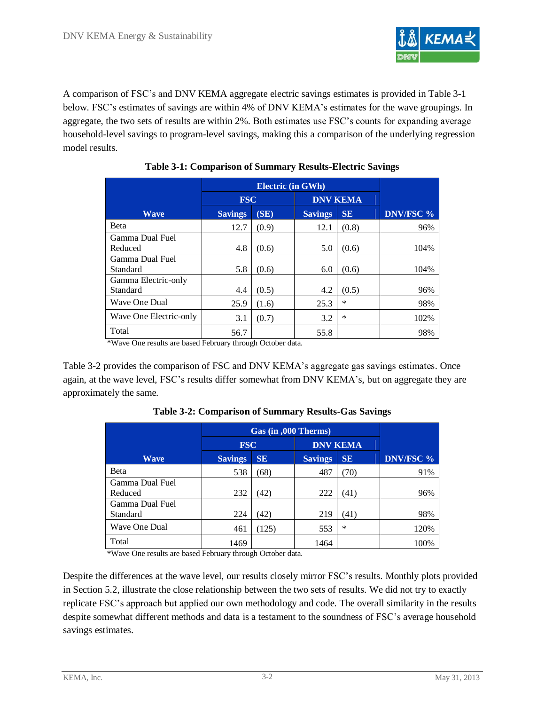

A comparison of FSC's and DNV KEMA aggregate electric savings estimates is provided in [Table 3-1](#page-5-0) below. FSC's estimates of savings are within 4% of DNV KEMA's estimates for the wave groupings. In aggregate, the two sets of results are within 2%. Both estimates use FSC's counts for expanding average household-level savings to program-level savings, making this a comparison of the underlying regression model results.

<span id="page-5-0"></span>

|                        | <b>FSC</b>     |       |                | <b>DNV KEMA</b> |                  |
|------------------------|----------------|-------|----------------|-----------------|------------------|
| <b>Wave</b>            | <b>Savings</b> | (SE)  | <b>Savings</b> | <b>SE</b>       | <b>DNV/FSC %</b> |
| <b>Beta</b>            | 12.7           | (0.9) | 12.1           | (0.8)           | 96%              |
| Gamma Dual Fuel        |                |       |                |                 |                  |
| Reduced                | 4.8            | (0.6) | 5.0            | (0.6)           | 104%             |
| Gamma Dual Fuel        |                |       |                |                 |                  |
| Standard               | 5.8            | (0.6) | 6.0            | (0.6)           | 104%             |
| Gamma Electric-only    |                |       |                |                 |                  |
| Standard               | 4.4            | (0.5) | 4.2            | (0.5)           | 96%              |
| <b>Wave One Dual</b>   | 25.9           | (1.6) | 25.3           | $\ast$          | 98%              |
| Wave One Electric-only | 3.1            | (0.7) | 3.2            | ∗               | 102%             |
| Total                  | 56.7           |       | 55.8           |                 | 98%              |

### **Table 3-1: Comparison of Summary Results-Electric Savings**

\*Wave One results are based February through October data.

<span id="page-5-1"></span>[Table 3-2](#page-5-1) provides the comparison of FSC and DNV KEMA's aggregate gas savings estimates. Once again, at the wave level, FSC's results differ somewhat from DNV KEMA's, but on aggregate they are approximately the same.

|                 | $\overline{\text{Gas}}$ (in , $\overline{\text{000}}$ Therms) |           |                |                 |                  |
|-----------------|---------------------------------------------------------------|-----------|----------------|-----------------|------------------|
|                 | <b>FSC</b>                                                    |           |                | <b>DNV KEMA</b> |                  |
| <b>Wave</b>     | <b>Savings</b>                                                | <b>SE</b> | <b>Savings</b> | <b>SE</b>       | <b>DNV/FSC %</b> |
| <b>Beta</b>     | 538                                                           | (68)      | 487            | (70)            | 91%              |
| Gamma Dual Fuel |                                                               |           |                |                 |                  |
| Reduced         | 232                                                           | (42)      | 222            | (41)            | 96%              |
| Gamma Dual Fuel |                                                               |           |                |                 |                  |
| Standard        | 224                                                           | 42)       | 219            | (41)            | 98%              |
| Wave One Dual   | 461                                                           | (125)     | 553            | $\ast$          | 120%             |
| Total           | 1469                                                          |           | 1464           |                 | 100%             |

**Table 3-2: Comparison of Summary Results-Gas Savings**

\*Wave One results are based February through October data.

Despite the differences at the wave level, our results closely mirror FSC's results. Monthly plots provided in Section [5.2,](#page-11-0) illustrate the close relationship between the two sets of results. We did not try to exactly replicate FSC's approach but applied our own methodology and code. The overall similarity in the results despite somewhat different methods and data is a testament to the soundness of FSC's average household savings estimates.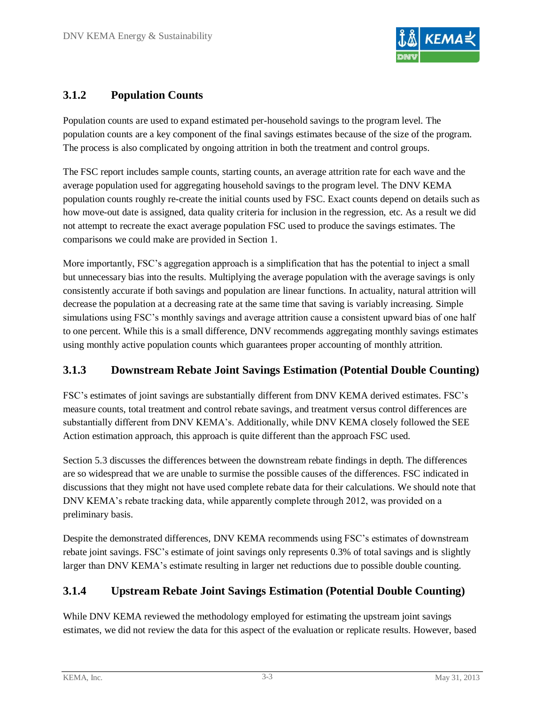

### <span id="page-6-0"></span>**3.1.2 Population Counts**

Population counts are used to expand estimated per-household savings to the program level. The population counts are a key component of the final savings estimates because of the size of the program. The process is also complicated by ongoing attrition in both the treatment and control groups.

The FSC report includes sample counts, starting counts, an average attrition rate for each wave and the average population used for aggregating household savings to the program level. The DNV KEMA population counts roughly re-create the initial counts used by FSC. Exact counts depend on details such as how move-out date is assigned, data quality criteria for inclusion in the regression, etc. As a result we did not attempt to recreate the exact average population FSC used to produce the savings estimates. The comparisons we could make are provided in Section [1.](#page-2-0)

More importantly, FSC's aggregation approach is a simplification that has the potential to inject a small but unnecessary bias into the results. Multiplying the average population with the average savings is only consistently accurate if both savings and population are linear functions. In actuality, natural attrition will decrease the population at a decreasing rate at the same time that saving is variably increasing. Simple simulations using FSC's monthly savings and average attrition cause a consistent upward bias of one half to one percent. While this is a small difference, DNV recommends aggregating monthly savings estimates using monthly active population counts which guarantees proper accounting of monthly attrition.

### <span id="page-6-1"></span>**3.1.3 Downstream Rebate Joint Savings Estimation (Potential Double Counting)**

FSC's estimates of joint savings are substantially different from DNV KEMA derived estimates. FSC's measure counts, total treatment and control rebate savings, and treatment versus control differences are substantially different from DNV KEMA's. Additionally, while DNV KEMA closely followed the SEE Action estimation approach, this approach is quite different than the approach FSC used.

Section [5.3](#page-18-0) discusses the differences between the downstream rebate findings in depth. The differences are so widespread that we are unable to surmise the possible causes of the differences. FSC indicated in discussions that they might not have used complete rebate data for their calculations. We should note that DNV KEMA's rebate tracking data, while apparently complete through 2012, was provided on a preliminary basis.

Despite the demonstrated differences, DNV KEMA recommends using FSC's estimates of downstream rebate joint savings. FSC's estimate of joint savings only represents 0.3% of total savings and is slightly larger than DNV KEMA's estimate resulting in larger net reductions due to possible double counting.

### <span id="page-6-2"></span>**3.1.4 Upstream Rebate Joint Savings Estimation (Potential Double Counting)**

While DNV KEMA reviewed the methodology employed for estimating the upstream joint savings estimates, we did not review the data for this aspect of the evaluation or replicate results. However, based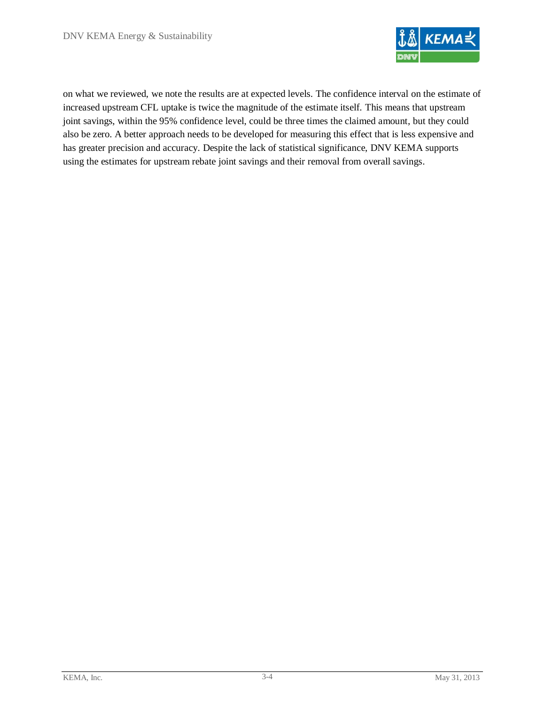

on what we reviewed, we note the results are at expected levels. The confidence interval on the estimate of increased upstream CFL uptake is twice the magnitude of the estimate itself. This means that upstream joint savings, within the 95% confidence level, could be three times the claimed amount, but they could also be zero. A better approach needs to be developed for measuring this effect that is less expensive and has greater precision and accuracy. Despite the lack of statistical significance, DNV KEMA supports using the estimates for upstream rebate joint savings and their removal from overall savings.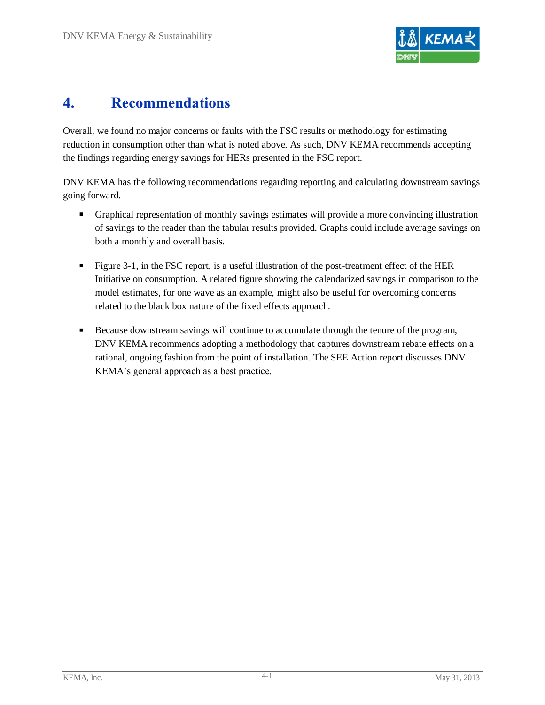

# <span id="page-8-0"></span>**4. Recommendations**

Overall, we found no major concerns or faults with the FSC results or methodology for estimating reduction in consumption other than what is noted above. As such, DNV KEMA recommends accepting the findings regarding energy savings for HERs presented in the FSC report.

DNV KEMA has the following recommendations regarding reporting and calculating downstream savings going forward.

- Graphical representation of monthly savings estimates will provide a more convincing illustration of savings to the reader than the tabular results provided. Graphs could include average savings on both a monthly and overall basis.
- Figure 3-1, in the FSC report, is a useful illustration of the post-treatment effect of the HER Initiative on consumption. A related figure showing the calendarized savings in comparison to the model estimates, for one wave as an example, might also be useful for overcoming concerns related to the black box nature of the fixed effects approach.
- Because downstream savings will continue to accumulate through the tenure of the program, DNV KEMA recommends adopting a methodology that captures downstream rebate effects on a rational, ongoing fashion from the point of installation. The SEE Action report discusses DNV KEMA's general approach as a best practice.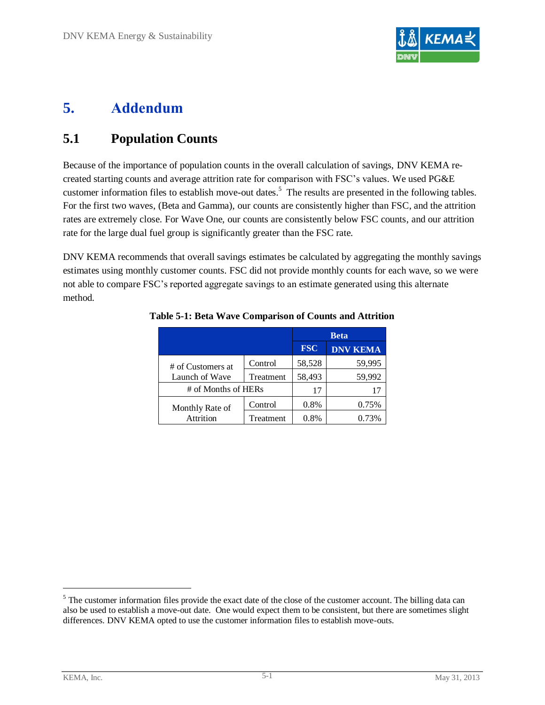

# <span id="page-9-0"></span>**5. Addendum**

### <span id="page-9-1"></span>**5.1 Population Counts**

Because of the importance of population counts in the overall calculation of savings, DNV KEMA recreated starting counts and average attrition rate for comparison with FSC's values. We used PG&E customer information files to establish move-out dates.<sup>5</sup> The results are presented in the following tables. For the first two waves, (Beta and Gamma), our counts are consistently higher than FSC, and the attrition rates are extremely close. For Wave One, our counts are consistently below FSC counts, and our attrition rate for the large dual fuel group is significantly greater than the FSC rate.

<span id="page-9-2"></span>DNV KEMA recommends that overall savings estimates be calculated by aggregating the monthly savings estimates using monthly customer counts. FSC did not provide monthly counts for each wave, so we were not able to compare FSC's reported aggregate savings to an estimate generated using this alternate method.

|                     |           | <b>Beta</b> |                 |  |
|---------------------|-----------|-------------|-----------------|--|
|                     |           | <b>FSC</b>  | <b>DNV KEMA</b> |  |
| # of Customers at   | Control   | 58,528      | 59,995          |  |
| Launch of Wave      | Treatment | 58,493      | 59,992          |  |
| # of Months of HERs |           | 17          | 17              |  |
| Monthly Rate of     | Control   | 0.8%        | 0.75%           |  |
| <b>Attrition</b>    | Treatment | 0.8%        | 0.73%           |  |

#### **Table 5-1: Beta Wave Comparison of Counts and Attrition**

<sup>&</sup>lt;sup>5</sup> The customer information files provide the exact date of the close of the customer account. The billing data can also be used to establish a move-out date. One would expect them to be consistent, but there are sometimes slight differences. DNV KEMA opted to use the customer information files to establish move-outs.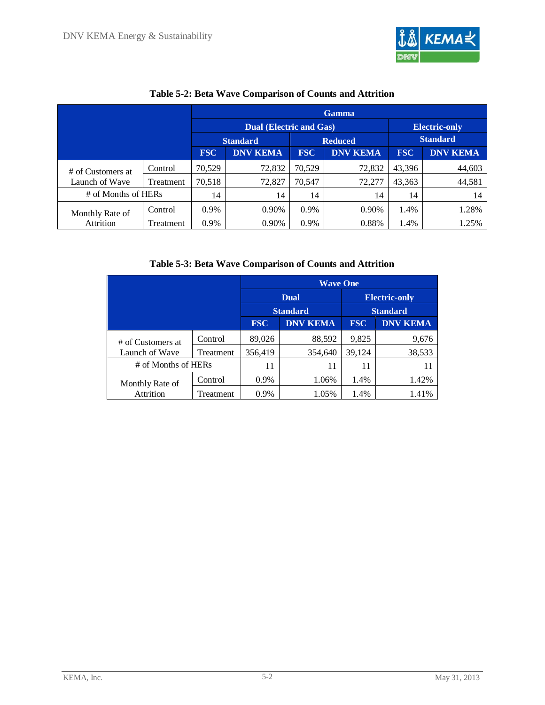

<span id="page-10-0"></span>

|                     |           |                 | <b>Dual (Electric and Gas)</b><br><b>Electric-only</b> |                |                 |            |                 |  |
|---------------------|-----------|-----------------|--------------------------------------------------------|----------------|-----------------|------------|-----------------|--|
|                     |           | <b>Standard</b> |                                                        | <b>Reduced</b> | <b>Standard</b> |            |                 |  |
|                     |           | <b>FSC</b>      | <b>DNV KEMA</b>                                        | <b>FSC</b>     | <b>DNV KEMA</b> | <b>FSC</b> | <b>DNV KEMA</b> |  |
| # of Customers at   | Control   | 70.529          | 72,832                                                 | 70,529         | 72.832          | 43,396     | 44,603          |  |
| Launch of Wave      | Treatment | 70,518          | 72,827                                                 | 70,547         | 72,277          | 43,363     | 44,581          |  |
| # of Months of HERs |           | 14              | 14                                                     | 14             | 14              | 14         | 14              |  |
| Monthly Rate of     | Control   | $0.9\%$         | 0.90%                                                  | 0.9%           | 0.90%           | 1.4%       | 1.28%           |  |
| Attrition           | Treatment | 0.9%            | 0.90%                                                  | 0.9%           | 0.88%           | 1.4%       | 1.25%           |  |

### **Table 5-2: Beta Wave Comparison of Counts and Attrition**

**Table 5-3: Beta Wave Comparison of Counts and Attrition**

<span id="page-10-1"></span>

|                     | <b>Wave One</b> |                      |                 |                 |        |  |
|---------------------|-----------------|----------------------|-----------------|-----------------|--------|--|
|                     |                 | <b>Electric-only</b> |                 |                 |        |  |
|                     |                 | <b>Standard</b>      | <b>Standard</b> |                 |        |  |
|                     | <b>FSC</b>      | <b>DNV KEMA</b>      | <b>FSC</b>      | <b>DNV KEMA</b> |        |  |
| # of Customers at   | Control         | 89,026               | 88,592          | 9,825           | 9,676  |  |
| Launch of Wave      | Treatment       | 356,419              | 354,640         | 39,124          | 38,533 |  |
| # of Months of HERs |                 | 11                   | 11              | 11              | 11     |  |
| Monthly Rate of     | Control         | 0.9%                 | 1.06%           | 1.4%            | 1.42%  |  |
| Attrition           | Treatment       | 0.9%                 | 1.05%           | 1.4%            | 1.41%  |  |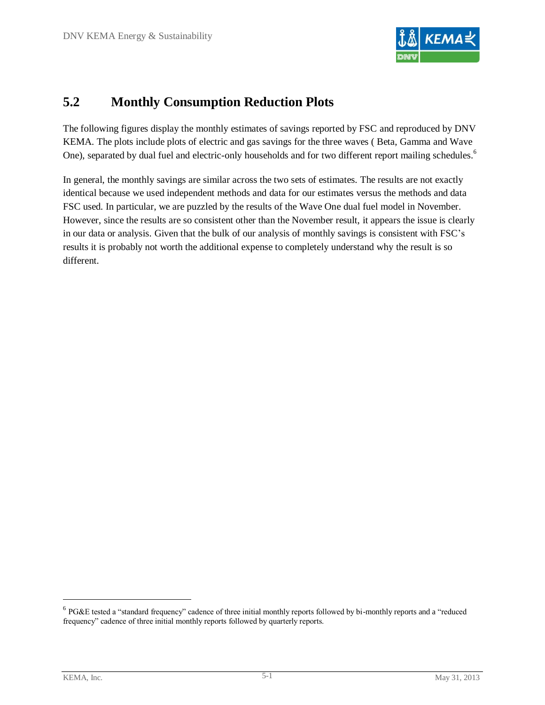

### <span id="page-11-0"></span>**5.2 Monthly Consumption Reduction Plots**

The following figures display the monthly estimates of savings reported by FSC and reproduced by DNV KEMA. The plots include plots of electric and gas savings for the three waves ( Beta, Gamma and Wave One), separated by dual fuel and electric-only households and for two different report mailing schedules.<sup>6</sup>

In general, the monthly savings are similar across the two sets of estimates. The results are not exactly identical because we used independent methods and data for our estimates versus the methods and data FSC used. In particular, we are puzzled by the results of the Wave One dual fuel model in November. However, since the results are so consistent other than the November result, it appears the issue is clearly in our data or analysis. Given that the bulk of our analysis of monthly savings is consistent with FSC's results it is probably not worth the additional expense to completely understand why the result is so different.

 $6$  PG&E tested a "standard frequency" cadence of three initial monthly reports followed by bi-monthly reports and a "reduced" frequency" cadence of three initial monthly reports followed by quarterly reports.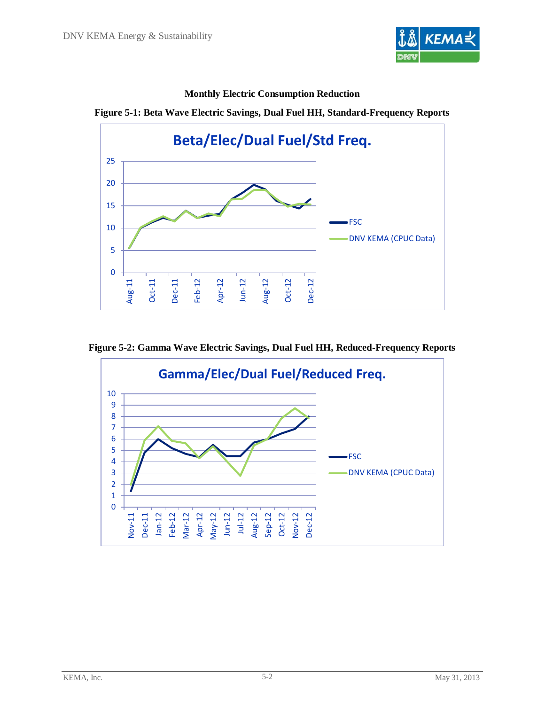



**Monthly Electric Consumption Reduction**



**Figure 5-2: Gamma Wave Electric Savings, Dual Fuel HH, Reduced-Frequency Reports**

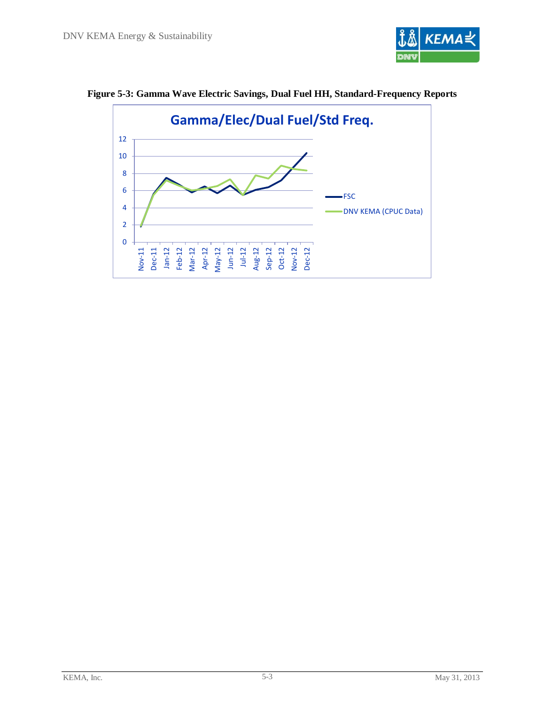



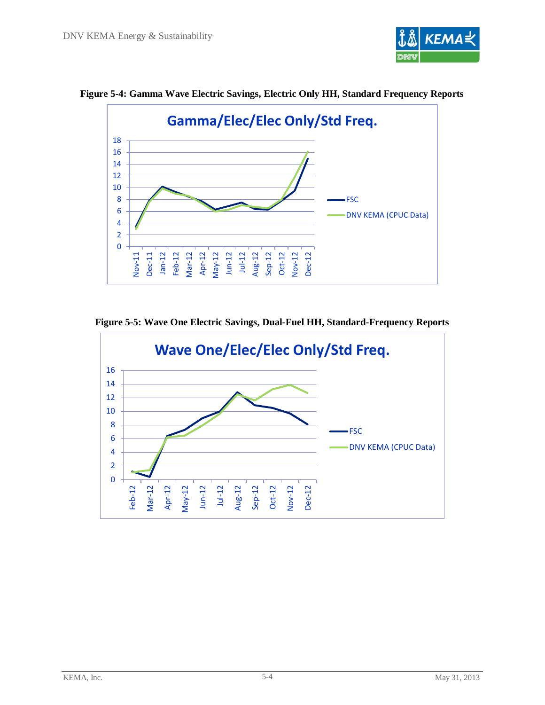



**Figure 5-4: Gamma Wave Electric Savings, Electric Only HH, Standard Frequency Reports**

**Figure 5-5: Wave One Electric Savings, Dual-Fuel HH, Standard-Frequency Reports**

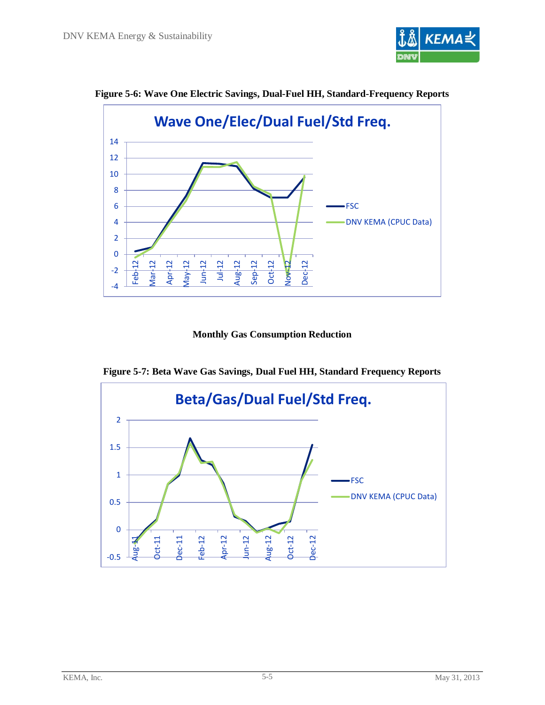

**Figure 5-6: Wave One Electric Savings, Dual-Fuel HH, Standard-Frequency Reports**



**Monthly Gas Consumption Reduction**

**Figure 5-7: Beta Wave Gas Savings, Dual Fuel HH, Standard Frequency Reports**

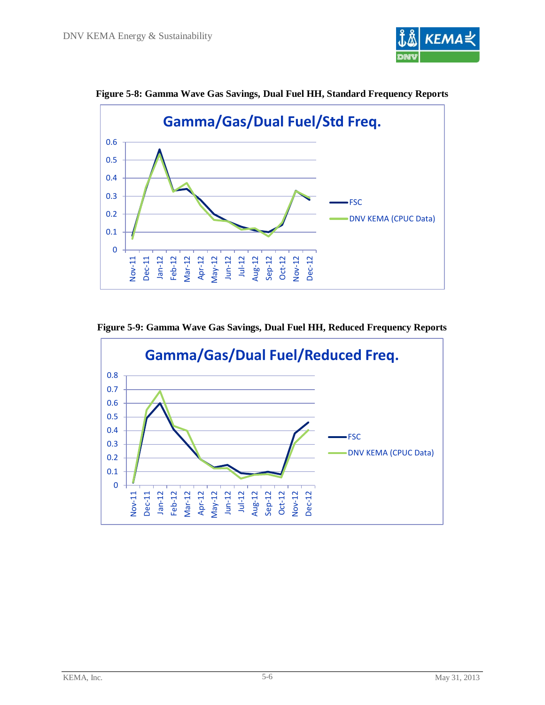





**Figure 5-9: Gamma Wave Gas Savings, Dual Fuel HH, Reduced Frequency Reports**

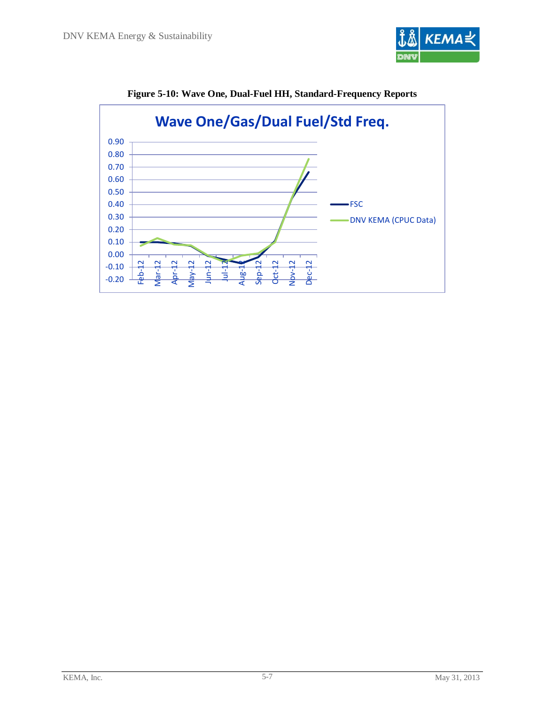



**Figure 5-10: Wave One, Dual-Fuel HH, Standard-Frequency Reports**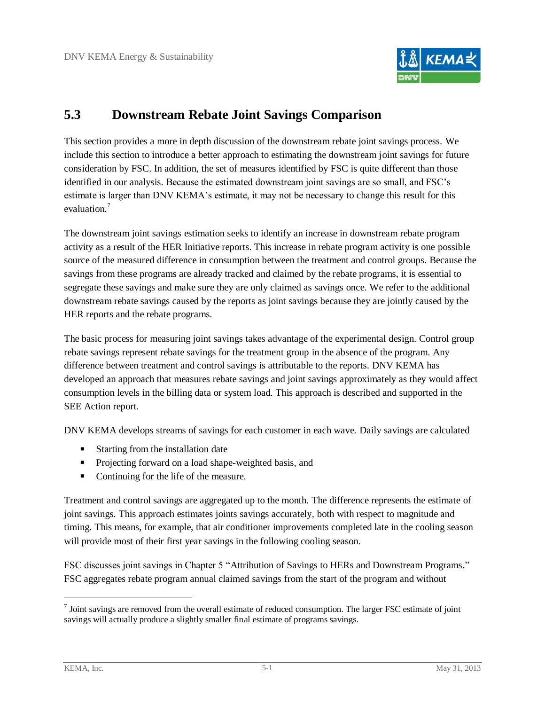

### <span id="page-18-0"></span>**5.3 Downstream Rebate Joint Savings Comparison**

This section provides a more in depth discussion of the downstream rebate joint savings process. We include this section to introduce a better approach to estimating the downstream joint savings for future consideration by FSC. In addition, the set of measures identified by FSC is quite different than those identified in our analysis. Because the estimated downstream joint savings are so small, and FSC's estimate is larger than DNV KEMA's estimate, it may not be necessary to change this result for this evaluation.<sup>7</sup>

The downstream joint savings estimation seeks to identify an increase in downstream rebate program activity as a result of the HER Initiative reports. This increase in rebate program activity is one possible source of the measured difference in consumption between the treatment and control groups. Because the savings from these programs are already tracked and claimed by the rebate programs, it is essential to segregate these savings and make sure they are only claimed as savings once. We refer to the additional downstream rebate savings caused by the reports as joint savings because they are jointly caused by the HER reports and the rebate programs.

The basic process for measuring joint savings takes advantage of the experimental design. Control group rebate savings represent rebate savings for the treatment group in the absence of the program. Any difference between treatment and control savings is attributable to the reports. DNV KEMA has developed an approach that measures rebate savings and joint savings approximately as they would affect consumption levels in the billing data or system load. This approach is described and supported in the SEE Action report.

DNV KEMA develops streams of savings for each customer in each wave. Daily savings are calculated

- Starting from the installation date
- **Projecting forward on a load shape-weighted basis, and**
- Continuing for the life of the measure.

Treatment and control savings are aggregated up to the month. The difference represents the estimate of joint savings. This approach estimates joints savings accurately, both with respect to magnitude and timing. This means, for example, that air conditioner improvements completed late in the cooling season will provide most of their first year savings in the following cooling season.

FSC discusses joint savings in Chapter 5 "Attribution of Savings to HERs and Downstream Programs." FSC aggregates rebate program annual claimed savings from the start of the program and without

 $\overline{a}$ 

 $<sup>7</sup>$  Joint savings are removed from the overall estimate of reduced consumption. The larger FSC estimate of joint</sup> savings will actually produce a slightly smaller final estimate of programs savings.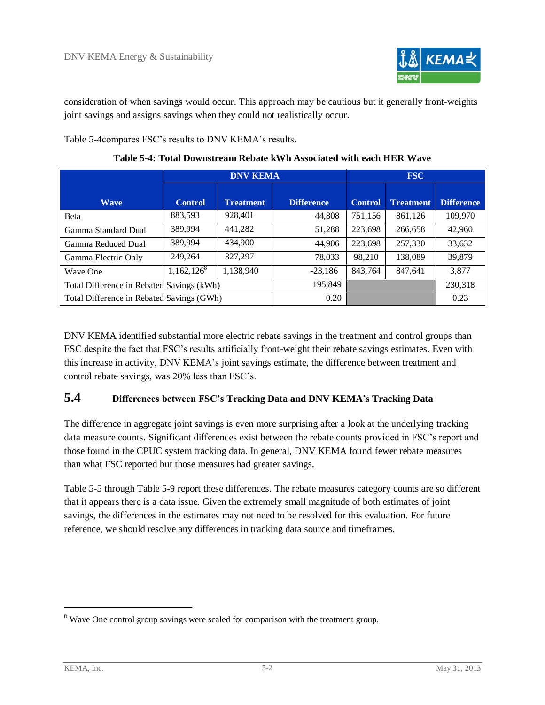

consideration of when savings would occur. This approach may be cautious but it generally front-weights joint savings and assigns savings when they could not realistically occur.

[Table 5-4c](#page-19-0)ompares FSC's results to DNV KEMA's results.

<span id="page-19-0"></span>

|                                           |                | <b>DNV KEMA</b>  |                   |                |                  |                   |
|-------------------------------------------|----------------|------------------|-------------------|----------------|------------------|-------------------|
| <b>Wave</b>                               | <b>Control</b> | <b>Treatment</b> | <b>Difference</b> | <b>Control</b> | <b>Treatment</b> | <b>Difference</b> |
| <b>Beta</b>                               | 883,593        | 928,401          | 44,808            | 751,156        | 861,126          | 109,970           |
| Gamma Standard Dual                       | 389,994        | 441.282          | 51,288            | 223,698        | 266.658          | 42,960            |
| Gamma Reduced Dual                        | 389,994        | 434.900          | 44,906            | 223,698        | 257,330          | 33,632            |
| Gamma Electric Only                       | 249.264        | 327.297          | 78,033            | 98,210         | 138,089          | 39,879            |
| Wave One                                  | $1,162,126^8$  | 1,138,940        | $-23,186$         | 843.764        | 847.641          | 3,877             |
| Total Difference in Rebated Savings (kWh) |                |                  | 195,849           |                |                  | 230,318           |
| Total Difference in Rebated Savings (GWh) |                |                  | 0.20              |                | 0.23             |                   |

**Table 5-4: Total Downstream Rebate kWh Associated with each HER Wave**

DNV KEMA identified substantial more electric rebate savings in the treatment and control groups than FSC despite the fact that FSC's results artificially front-weight their rebate savings estimates. Even with this increase in activity, DNV KEMA's joint savings estimate, the difference between treatment and control rebate savings, was 20% less than FSC's.

### **5.4 Differences between FSC's Tracking Data and DNV KEMA's Tracking Data**

The difference in aggregate joint savings is even more surprising after a look at the underlying tracking data measure counts. Significant differences exist between the rebate counts provided in FSC's report and those found in the CPUC system tracking data. In general, DNV KEMA found fewer rebate measures than what FSC reported but those measures had greater savings.

[Table 5-5](#page-20-0) through [Table 5-9](#page-24-0) report these differences. The rebate measures category counts are so different that it appears there is a data issue. Given the extremely small magnitude of both estimates of joint savings, the differences in the estimates may not need to be resolved for this evaluation. For future reference, we should resolve any differences in tracking data source and timeframes.

l

<sup>&</sup>lt;sup>8</sup> Wave One control group savings were scaled for comparison with the treatment group.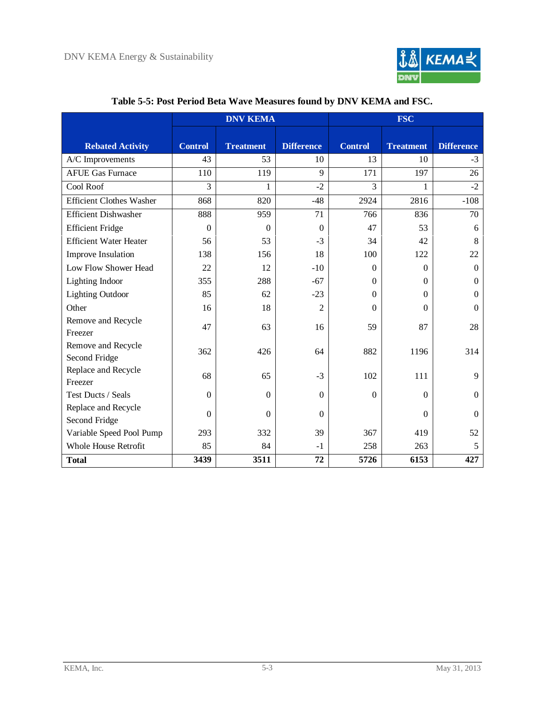

<span id="page-20-0"></span>

|                                 | <b>DNV KEMA</b>  |                  |                   | <b>FSC</b>     |                  |                   |  |
|---------------------------------|------------------|------------------|-------------------|----------------|------------------|-------------------|--|
|                                 |                  |                  |                   |                |                  |                   |  |
| <b>Rebated Activity</b>         | <b>Control</b>   | <b>Treatment</b> | <b>Difference</b> | <b>Control</b> | <b>Treatment</b> | <b>Difference</b> |  |
| A/C Improvements                | 43               | 53               | 10                | 13             | 10               | $-3$              |  |
| <b>AFUE Gas Furnace</b>         | 110              | 119              | 9                 | 171            | 197              | 26                |  |
| Cool Roof                       | 3                | 1                | $-2$              | 3              | 1                | $-2$              |  |
| <b>Efficient Clothes Washer</b> | 868              | 820              | $-48$             | 2924           | 2816             | $-108$            |  |
| <b>Efficient Dishwasher</b>     | 888              | 959              | 71                | 766            | 836              | 70                |  |
| <b>Efficient Fridge</b>         | $\Omega$         | $\Omega$         | $\Omega$          | 47             | 53               | 6                 |  |
| <b>Efficient Water Heater</b>   | 56               | 53               | $-3$              | 34             | 42               | 8                 |  |
| Improve Insulation              | 138              | 156              | 18                | 100            | 122              | 22                |  |
| Low Flow Shower Head            | 22               | 12               | $-10$             | $\Omega$       | $\Omega$         | $\overline{0}$    |  |
| <b>Lighting Indoor</b>          | 355              | 288              | $-67$             | $\Omega$       | $\Omega$         | $\Omega$          |  |
| <b>Lighting Outdoor</b>         | 85               | 62               | $-23$             | $\Omega$       | $\Omega$         | $\Omega$          |  |
| Other                           | 16               | 18               | $\overline{2}$    | $\Omega$       | $\mathbf{0}$     | $\boldsymbol{0}$  |  |
| Remove and Recycle              | 47               | 63               | 16                | 59             | 87               | 28                |  |
| Freezer                         |                  |                  |                   |                |                  |                   |  |
| Remove and Recycle              | 362              | 426              | 64                | 882            | 1196             | 314               |  |
| Second Fridge                   |                  |                  |                   |                |                  |                   |  |
| Replace and Recycle             | 68               | 65               | $-3$              | 102            | 111              | 9                 |  |
| Freezer                         |                  |                  |                   |                |                  |                   |  |
| Test Ducts / Seals              | $\Omega$         | $\boldsymbol{0}$ | $\boldsymbol{0}$  | $\mathbf{0}$   | $\Omega$         | $\mathbf{0}$      |  |
| Replace and Recycle             | $\boldsymbol{0}$ | $\overline{0}$   | $\boldsymbol{0}$  |                | $\mathbf{0}$     | $\boldsymbol{0}$  |  |
| Second Fridge                   |                  |                  |                   |                |                  |                   |  |
| Variable Speed Pool Pump        | 293              | 332              | 39                | 367            | 419              | 52                |  |
| <b>Whole House Retrofit</b>     | 85               | 84               | $-1$              | 258            | 263              | 5                 |  |
| <b>Total</b>                    | 3439             | 3511             | 72                | 5726           | 6153             | 427               |  |

### **Table 5-5: Post Period Beta Wave Measures found by DNV KEMA and FSC.**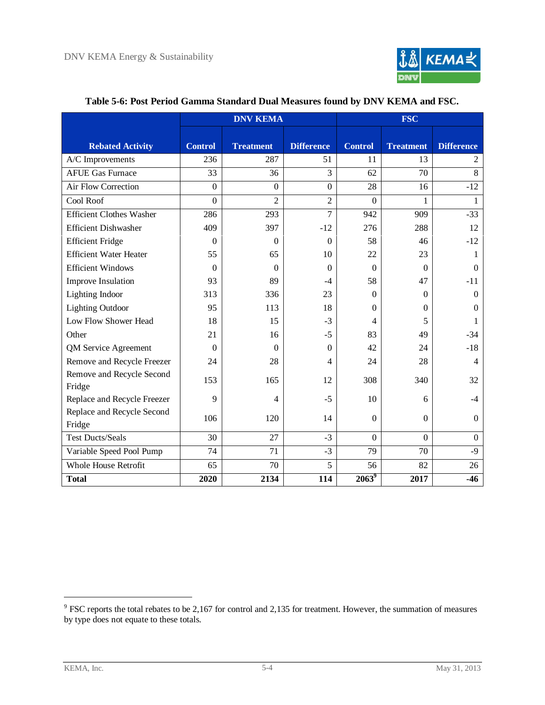

<span id="page-21-0"></span>

|                                      | <b>DNV KEMA</b> |                  |                   | <b>FSC</b>       |                  |                   |  |
|--------------------------------------|-----------------|------------------|-------------------|------------------|------------------|-------------------|--|
| <b>Rebated Activity</b>              | <b>Control</b>  | <b>Treatment</b> | <b>Difference</b> | <b>Control</b>   | <b>Treatment</b> | <b>Difference</b> |  |
| A/C Improvements                     | 236             | 287              | 51                | 11               | 13               | 2                 |  |
| <b>AFUE Gas Furnace</b>              | 33              | 36               | 3                 | 62               | 70               | 8                 |  |
| Air Flow Correction                  | $\mathbf{0}$    | $\Omega$         | $\theta$          | 28               | 16               | $-12$             |  |
| Cool Roof                            | $\mathbf{0}$    | $\overline{2}$   | $\overline{2}$    | $\boldsymbol{0}$ | 1                | 1                 |  |
| <b>Efficient Clothes Washer</b>      | 286             | 293              | 7                 | 942              | 909              | $-33$             |  |
| <b>Efficient Dishwasher</b>          | 409             | 397              | $-12$             | 276              | 288              | 12                |  |
| <b>Efficient Fridge</b>              | $\theta$        | $\theta$         | $\Omega$          | 58               | 46               | $-12$             |  |
| <b>Efficient Water Heater</b>        | 55              | 65               | 10                | 22               | 23               | 1                 |  |
| <b>Efficient Windows</b>             | $\Omega$        | $\Omega$         | $\Omega$          | $\Omega$         | $\Omega$         | $\Omega$          |  |
| <b>Improve Insulation</b>            | 93              | 89               | $-4$              | 58               | 47               | $-11$             |  |
| Lighting Indoor                      | 313             | 336              | 23                | $\Omega$         | $\Omega$         | $\Omega$          |  |
| <b>Lighting Outdoor</b>              | 95              | 113              | 18                | $\Omega$         | $\Omega$         | $\Omega$          |  |
| Low Flow Shower Head                 | 18              | 15               | $-3$              | 4                | 5                |                   |  |
| Other                                | 21              | 16               | $-5$              | 83               | 49               | $-34$             |  |
| QM Service Agreement                 | $\theta$        | $\theta$         | $\Omega$          | 42               | 24               | $-18$             |  |
| Remove and Recycle Freezer           | 24              | 28               | 4                 | 24               | 28               | 4                 |  |
| Remove and Recycle Second<br>Fridge  | 153             | 165              | 12                | 308              | 340              | 32                |  |
| Replace and Recycle Freezer          | 9               | 4                | $-5$              | 10               | 6                | $-4$              |  |
| Replace and Recycle Second<br>Fridge | 106             | 120              | 14                | $\Omega$         | $\Omega$         | $\Omega$          |  |
| <b>Test Ducts/Seals</b>              | 30              | 27               | $-3$              | $\boldsymbol{0}$ | $\mathbf{0}$     | $\boldsymbol{0}$  |  |
| Variable Speed Pool Pump             | 74              | 71               | $-3$              | 79               | 70               | $-9$              |  |
| <b>Whole House Retrofit</b>          | 65              | 70               | 5                 | 56               | 82               | 26                |  |
| <b>Total</b>                         | 2020            | 2134             | 114               | $2063^9$         | 2017             | $-46$             |  |

#### **Table 5-6: Post Period Gamma Standard Dual Measures found by DNV KEMA and FSC.**

 $\overline{a}$ 

 $9$  FSC reports the total rebates to be 2,167 for control and 2,135 for treatment. However, the summation of measures by type does not equate to these totals.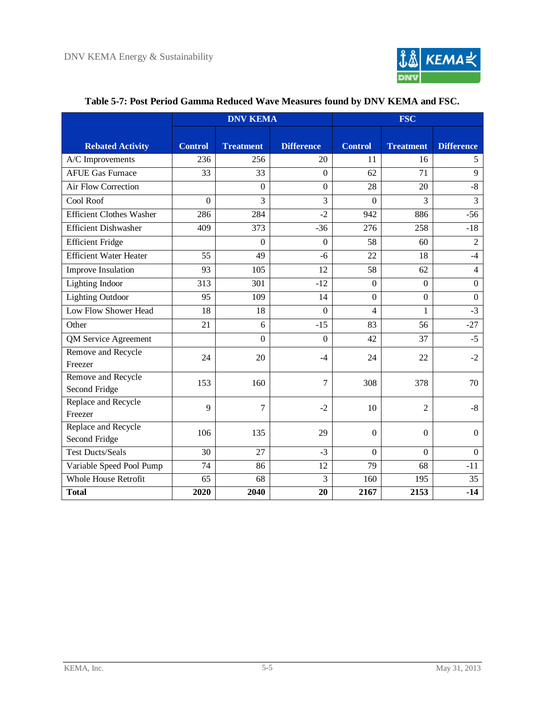

<span id="page-22-0"></span>

|                                      | <b>DNV KEMA</b> |                  |                   | <b>FSC</b>     |                  |                   |  |
|--------------------------------------|-----------------|------------------|-------------------|----------------|------------------|-------------------|--|
| <b>Rebated Activity</b>              | <b>Control</b>  | <b>Treatment</b> | <b>Difference</b> | <b>Control</b> | <b>Treatment</b> | <b>Difference</b> |  |
| A/C Improvements                     | 236             | 256              | 20                | 11             | 16               | 5                 |  |
| <b>AFUE Gas Furnace</b>              | 33              | 33               | $\overline{0}$    | 62             | 71               | 9                 |  |
| <b>Air Flow Correction</b>           |                 | $\overline{0}$   | $\mathbf{0}$      | 28             | 20               | $-8$              |  |
| Cool Roof                            | $\mathbf{0}$    | 3                | 3                 | $\Omega$       | 3                | $\overline{3}$    |  |
| <b>Efficient Clothes Washer</b>      | 286             | 284              | $-2$              | 942            | 886              | $-56$             |  |
| <b>Efficient Dishwasher</b>          | 409             | 373              | $-36$             | 276            | 258              | $-18$             |  |
| <b>Efficient Fridge</b>              |                 | $\Omega$         | $\overline{0}$    | 58             | 60               | $\overline{2}$    |  |
| <b>Efficient Water Heater</b>        | 55              | 49               | $-6$              | 22             | 18               | $-4$              |  |
| Improve Insulation                   | 93              | 105              | 12                | 58             | 62               | $\overline{4}$    |  |
| Lighting Indoor                      | 313             | 301              | $-12$             | $\mathbf{0}$   | $\mathbf{0}$     | $\boldsymbol{0}$  |  |
| <b>Lighting Outdoor</b>              | 95              | 109              | 14                | $\overline{0}$ | $\mathbf{0}$     | $\boldsymbol{0}$  |  |
| Low Flow Shower Head                 | 18              | 18               | $\overline{0}$    | 4              | $\mathbf{1}$     | $-3$              |  |
| Other                                | 21              | 6                | $-15$             | 83             | 56               | $-27$             |  |
| QM Service Agreement                 |                 | $\mathbf{0}$     | $\mathbf{0}$      | 42             | 37               | $-5$              |  |
| Remove and Recycle<br>Freezer        | 24              | 20               | $-4$              | 24             | 22               | $-2$              |  |
| Remove and Recycle<br>Second Fridge  | 153             | 160              | $\tau$            | 308            | 378              | 70                |  |
| Replace and Recycle<br>Freezer       | 9               | 7                | $-2$              | 10             | $\overline{2}$   | $-8$              |  |
| Replace and Recycle<br>Second Fridge | 106             | 135              | 29                | $\mathbf{0}$   | $\boldsymbol{0}$ | $\mathbf{0}$      |  |
| <b>Test Ducts/Seals</b>              | 30              | 27               | $-3$              | $\Omega$       | $\Omega$         | $\Omega$          |  |
| Variable Speed Pool Pump             | 74              | 86               | 12                | 79             | 68               | $-11$             |  |
| <b>Whole House Retrofit</b>          | 65              | 68               | 3                 | 160            | 195              | 35                |  |
| <b>Total</b>                         | 2020            | 2040             | 20                | 2167           | 2153             | $-14$             |  |

### **Table 5-7: Post Period Gamma Reduced Wave Measures found by DNV KEMA and FSC.**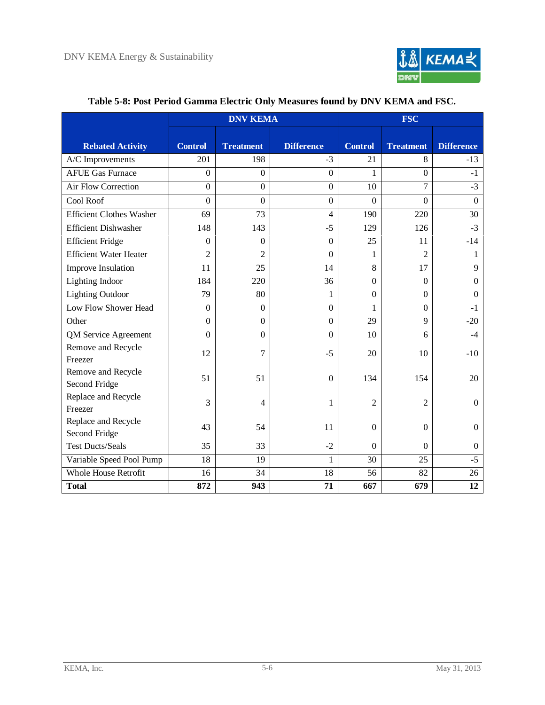

<span id="page-23-0"></span>

|                                      | <b>DNV KEMA</b> |                  |                   | <b>FSC</b>      |                  |                   |
|--------------------------------------|-----------------|------------------|-------------------|-----------------|------------------|-------------------|
| <b>Rebated Activity</b>              | <b>Control</b>  | <b>Treatment</b> | <b>Difference</b> | <b>Control</b>  | <b>Treatment</b> | <b>Difference</b> |
| A/C Improvements                     | 201             | 198              | $-3$              | 21              | 8                | $-13$             |
| <b>AFUE Gas Furnace</b>              | $\mathbf{0}$    | $\Omega$         | $\theta$          | 1               | $\boldsymbol{0}$ | $-1$              |
| Air Flow Correction                  | $\overline{0}$  | $\mathbf{0}$     | $\mathbf{0}$      | 10              | $\overline{7}$   | $-3$              |
| Cool Roof                            | $\overline{0}$  | $\overline{0}$   | $\mathbf{0}$      | $\overline{0}$  | $\boldsymbol{0}$ | $\mathbf{0}$      |
| <b>Efficient Clothes Washer</b>      | 69              | 73               | $\overline{4}$    | 190             | 220              | 30                |
| <b>Efficient Dishwasher</b>          | 148             | 143              | $-5$              | 129             | 126              | $-3$              |
| <b>Efficient Fridge</b>              | $\theta$        | $\Omega$         | $\Omega$          | 25              | 11               | $-14$             |
| <b>Efficient Water Heater</b>        | $\overline{2}$  | 2                | $\Omega$          | 1               | $\overline{2}$   | 1                 |
| Improve Insulation                   | 11              | 25               | 14                | 8               | 17               | 9                 |
| <b>Lighting Indoor</b>               | 184             | 220              | 36                | $\Omega$        | $\Omega$         | 0                 |
| <b>Lighting Outdoor</b>              | 79              | 80               | 1                 | $\Omega$        | $\Omega$         | $\Omega$          |
| Low Flow Shower Head                 | $\Omega$        | $\Omega$         | $\Omega$          | 1               | $\Omega$         | -1                |
| Other                                | $\mathbf{0}$    | $\Omega$         | $\Omega$          | 29              | 9                | $-20$             |
| QM Service Agreement                 | $\Omega$        | $\Omega$         | $\Omega$          | 10              | 6                | $-4$              |
| Remove and Recycle<br>Freezer        | 12              | 7                | $-5$              | 20              | 10               | $-10$             |
| Remove and Recycle<br>Second Fridge  | 51              | 51               | $\mathbf{0}$      | 134             | 154              | 20                |
| Replace and Recycle<br>Freezer       | 3               | $\overline{4}$   | 1                 | $\overline{2}$  | $\overline{2}$   | $\overline{0}$    |
| Replace and Recycle<br>Second Fridge | 43              | 54               | 11                | $\Omega$        | $\mathbf{0}$     | $\overline{0}$    |
| <b>Test Ducts/Seals</b>              | 35              | 33               | $-2$              | $\Omega$        | $\Omega$         | $\overline{0}$    |
| Variable Speed Pool Pump             | 18              | 19               | 1                 | $\overline{30}$ | 25               | $-5$              |
| <b>Whole House Retrofit</b>          | 16              | 34               | 18                | 56              | 82               | 26                |
| <b>Total</b>                         | 872             | 943              | 71                | 667             | 679              | 12                |

### **Table 5-8: Post Period Gamma Electric Only Measures found by DNV KEMA and FSC.**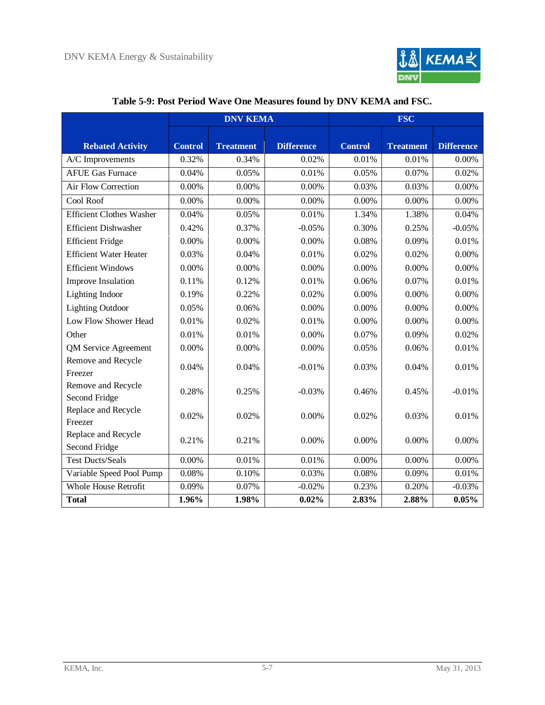

<span id="page-24-0"></span>

|                                      | <b>DNV KEMA</b> |                  |                   | <b>FSC</b>     |                  |                   |
|--------------------------------------|-----------------|------------------|-------------------|----------------|------------------|-------------------|
| <b>Rebated Activity</b>              | <b>Control</b>  | <b>Treatment</b> | <b>Difference</b> | <b>Control</b> | <b>Treatment</b> | <b>Difference</b> |
| A/C Improvements                     | 0.32%           | 0.34%            | 0.02%             | 0.01%          | 0.01%            | 0.00%             |
| <b>AFUE Gas Furnace</b>              | 0.04%           | 0.05%            | 0.01%             | 0.05%          | 0.07%            | 0.02%             |
| Air Flow Correction                  | 0.00%           | 0.00%            | 0.00%             | 0.03%          | 0.03%            | 0.00%             |
| Cool Roof                            | 0.00%           | 0.00%            | 0.00%             | 0.00%          | 0.00%            | 0.00%             |
| <b>Efficient Clothes Washer</b>      | 0.04%           | 0.05%            | 0.01%             | 1.34%          | 1.38%            | 0.04%             |
| <b>Efficient Dishwasher</b>          | 0.42%           | 0.37%            | $-0.05%$          | 0.30%          | 0.25%            | $-0.05%$          |
| <b>Efficient Fridge</b>              | 0.00%           | 0.00%            | 0.00%             | 0.08%          | 0.09%            | 0.01%             |
| <b>Efficient Water Heater</b>        | 0.03%           | 0.04%            | 0.01%             | 0.02%          | 0.02%            | 0.00%             |
| <b>Efficient Windows</b>             | 0.00%           | 0.00%            | 0.00%             | 0.00%          | 0.00%            | 0.00%             |
| Improve Insulation                   | 0.11%           | 0.12%            | 0.01%             | 0.06%          | 0.07%            | 0.01%             |
| Lighting Indoor                      | 0.19%           | 0.22%            | 0.02%             | 0.00%          | 0.00%            | 0.00%             |
| <b>Lighting Outdoor</b>              | 0.05%           | 0.06%            | 0.00%             | 0.00%          | 0.00%            | 0.00%             |
| Low Flow Shower Head                 | 0.01%           | 0.02%            | 0.01%             | 0.00%          | 0.00%            | 0.00%             |
| Other                                | 0.01%           | 0.01%            | 0.00%             | 0.07%          | 0.09%            | 0.02%             |
| QM Service Agreement                 | 0.00%           | 0.00%            | 0.00%             | 0.05%          | 0.06%            | 0.01%             |
| Remove and Recycle<br>Freezer        | 0.04%           | 0.04%            | $-0.01%$          | 0.03%          | 0.04%            | 0.01%             |
| Remove and Recycle<br>Second Fridge  | 0.28%           | 0.25%            | $-0.03%$          | 0.46%          | 0.45%            | $-0.01%$          |
| Replace and Recycle<br>Freezer       | 0.02%           | 0.02%            | 0.00%             | 0.02%          | 0.03%            | 0.01%             |
| Replace and Recycle<br>Second Fridge | 0.21%           | 0.21%            | 0.00%             | 0.00%          | 0.00%            | 0.00%             |
| <b>Test Ducts/Seals</b>              | 0.00%           | 0.01%            | 0.01%             | 0.00%          | 0.00%            | $0.00\%$          |
| Variable Speed Pool Pump             | 0.08%           | 0.10%            | 0.03%             | 0.08%          | 0.09%            | 0.01%             |
| <b>Whole House Retrofit</b>          | 0.09%           | 0.07%            | $-0.02%$          | 0.23%          | 0.20%            | $-0.03%$          |
| <b>Total</b>                         | 1.96%           | 1.98%            | 0.02%             | 2.83%          | 2.88%            | 0.05%             |

### **Table 5-9: Post Period Wave One Measures found by DNV KEMA and FSC.**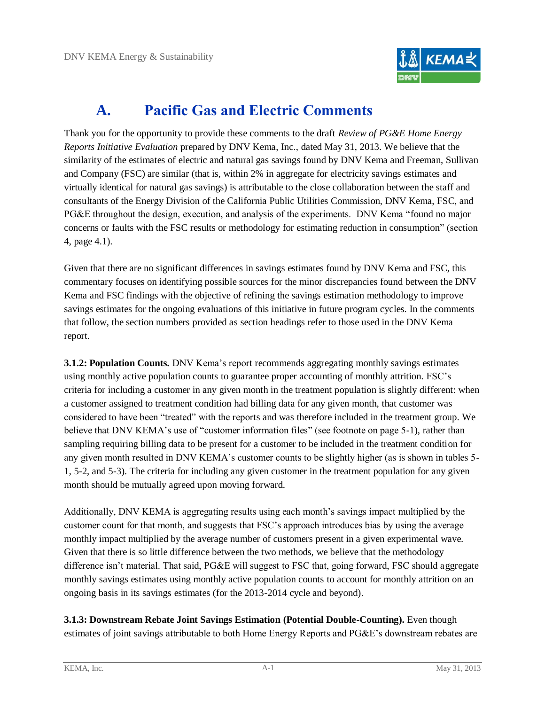

# **A. Pacific Gas and Electric Comments**

<span id="page-25-0"></span>Thank you for the opportunity to provide these comments to the draft *Review of PG&E Home Energy Reports Initiative Evaluation* prepared by DNV Kema, Inc., dated May 31, 2013. We believe that the similarity of the estimates of electric and natural gas savings found by DNV Kema and Freeman, Sullivan and Company (FSC) are similar (that is, within 2% in aggregate for electricity savings estimates and virtually identical for natural gas savings) is attributable to the close collaboration between the staff and consultants of the Energy Division of the California Public Utilities Commission, DNV Kema, FSC, and PG&E throughout the design, execution, and analysis of the experiments. DNV Kema "found no major concerns or faults with the FSC results or methodology for estimating reduction in consumption"(section 4, page 4.1).

Given that there are no significant differences in savings estimates found by DNV Kema and FSC, this commentary focuses on identifying possible sources for the minor discrepancies found between the DNV Kema and FSC findings with the objective of refining the savings estimation methodology to improve savings estimates for the ongoing evaluations of this initiative in future program cycles. In the comments that follow, the section numbers provided as section headings refer to those used in the DNV Kema report.

**3.1.2: Population Counts.** DNV Kema's report recommends aggregating monthly savings estimates using monthly active population counts to guarantee proper accounting of monthly attrition. FSC's criteria for including a customer in any given month in the treatment population is slightly different: when a customer assigned to treatment condition had billing data for any given month, that customer was considered to have been "treated" with the reports and was therefore included in the treatment group. We believe that DNV KEMA's use of "customer information files" (see footnote on page 5-1), rather than sampling requiring billing data to be present for a customer to be included in the treatment condition for any given month resulted in DNV KEMA's customer counts to be slightly higher (as is shown in tables 5-1, 5-2, and 5-3). The criteria for including any given customer in the treatment population for any given month should be mutually agreed upon moving forward.

Additionally, DNV KEMA is aggregating results using each month's savings impact multiplied by the customer count for that month, and suggests that FSC's approach introduces bias by using the average monthly impact multiplied by the average number of customers present in a given experimental wave. Given that there is so little difference between the two methods, we believe that the methodology difference isn't material. That said,  $PGEE$  will suggest to FSC that, going forward, FSC should aggregate monthly savings estimates using monthly active population counts to account for monthly attrition on an ongoing basis in its savings estimates (for the 2013-2014 cycle and beyond).

**3.1.3: Downstream Rebate Joint Savings Estimation (Potential Double-Counting).** Even though estimates of joint savings attributable to both Home Energy Reports and PG&E's downstream rebates are